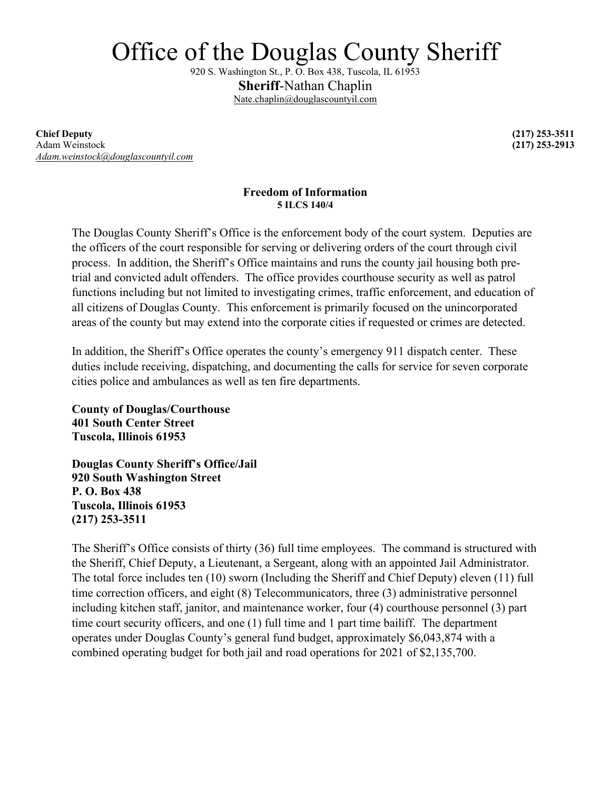## Office of the Douglas County Sheriff

920 S. Washington St., P. O. Box 438, Tuscola, IL 61953 **Sheriff**-Nathan Chaplin Nate.chaplin@douglascountyil.com

**Chief Deputy (217) 253-3511** Adam Weinstock **(217) 253-2913** *Adam.weinstock@douglascountyil.com*

## **Freedom of Information 5 ILCS 140/4**

The Douglas County Sheriff's Office is the enforcement body of the court system. Deputies are the officers of the court responsible for serving or delivering orders of the court through civil process. In addition, the Sheriff's Office maintains and runs the county jail housing both pretrial and convicted adult offenders. The office provides courthouse security as well as patrol functions including but not limited to investigating crimes, traffic enforcement, and education of all citizens of Douglas County. This enforcement is primarily focused on the unincorporated areas of the county but may extend into the corporate cities if requested or crimes are detected.

In addition, the Sheriff's Office operates the county's emergency 911 dispatch center. These duties include receiving, dispatching, and documenting the calls for service for seven corporate cities police and ambulances as well as ten fire departments.

**County of Douglas/Courthouse 401 South Center Street Tuscola, Illinois 61953**

**Douglas County Sheriff's Office/Jail 920 South Washington Street P. O. Box 438 Tuscola, Illinois 61953 (217) 253-3511**

The Sheriff's Office consists of thirty (36) full time employees. The command is structured with the Sheriff, Chief Deputy, a Lieutenant, a Sergeant, along with an appointed Jail Administrator. The total force includes ten (10) sworn (Including the Sheriff and Chief Deputy) eleven (11) full time correction officers, and eight (8) Telecommunicators, three (3) administrative personnel including kitchen staff, janitor, and maintenance worker, four (4) courthouse personnel (3) part time court security officers, and one (1) full time and 1 part time bailiff. The department operates under Douglas County's general fund budget, approximately \$6,043,874 with a combined operating budget for both jail and road operations for 2021 of \$2,135,700.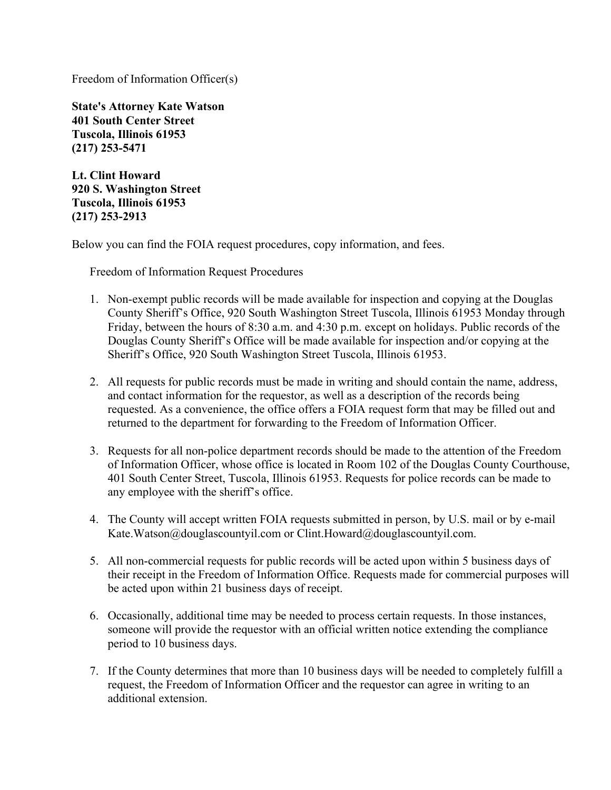Freedom of Information Officer(s)

**State's Attorney Kate Watson 401 South Center Street Tuscola, Illinois 61953 (217) 253-5471**

**Lt. Clint Howard 920 S. Washington Street Tuscola, Illinois 61953 (217) 253-2913**

Below you can find the FOIA request procedures, copy information, and fees.

Freedom of Information Request Procedures

- 1. Non-exempt public records will be made available for inspection and copying at the Douglas County Sheriff's Office, 920 South Washington Street Tuscola, Illinois 61953 Monday through Friday, between the hours of 8:30 a.m. and 4:30 p.m. except on holidays. Public records of the Douglas County Sheriff's Office will be made available for inspection and/or copying at the Sheriff's Office, 920 South Washington Street Tuscola, Illinois 61953.
- 2. All requests for public records must be made in writing and should contain the name, address, and contact information for the requestor, as well as a description of the records being requested. As a convenience, the office offers a FOIA request form that may be filled out and returned to the department for forwarding to the Freedom of Information Officer.
- 3. Requests for all non-police department records should be made to the attention of the Freedom of Information Officer, whose office is located in Room 102 of the Douglas County Courthouse, 401 South Center Street, Tuscola, Illinois 61953. Requests for police records can be made to any employee with the sheriff's office.
- 4. The County will accept written FOIA requests submitted in person, by U.S. mail or by e-mail Kate.Watson@douglascountyil.com or Clint.Howard@douglascountyil.com.
- 5. All non-commercial requests for public records will be acted upon within 5 business days of their receipt in the Freedom of Information Office. Requests made for commercial purposes will be acted upon within 21 business days of receipt.
- 6. Occasionally, additional time may be needed to process certain requests. In those instances, someone will provide the requestor with an official written notice extending the compliance period to 10 business days.
- 7. If the County determines that more than 10 business days will be needed to completely fulfill a request, the Freedom of Information Officer and the requestor can agree in writing to an additional extension.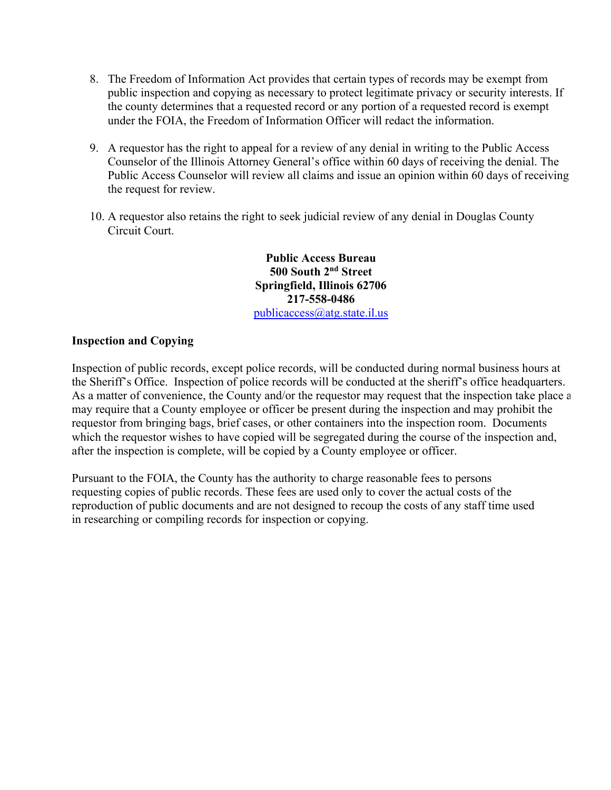- 8. The Freedom of Information Act provides that certain types of records may be exempt from public inspection and copying as necessary to protect legitimate privacy or security interests. If the county determines that a requested record or any portion of a requested record is exempt under the FOIA, the Freedom of Information Officer will redact the information.
- 9. A requestor has the right to appeal for a review of any denial in writing to the Public Access Counselor of the Illinois Attorney General's office within 60 days of receiving the denial. The Public Access Counselor will review all claims and issue an opinion within 60 days of receiving the request for review.
- 10. A requestor also retains the right to seek judicial review of any denial in Douglas County Circuit Court.

**Public Access Bureau 500 South 2nd Street Springfield, Illinois 62706 217-558-0486** [publicaccess@atg.state.il.us](mailto:publicaccess@atg.state.il.us)

## **Inspection and Copying**

Inspection of public records, except police records, will be conducted during normal business hours at the Sheriff's Office. Inspection of police records will be conducted at the sheriff's office headquarters. As a matter of convenience, the County and/or the requestor may request that the inspection take place a may require that a County employee or officer be present during the inspection and may prohibit the requestor from bringing bags, brief cases, or other containers into the inspection room. Documents which the requestor wishes to have copied will be segregated during the course of the inspection and, after the inspection is complete, will be copied by a County employee or officer.

Pursuant to the FOIA, the County has the authority to charge reasonable fees to persons requesting copies of public records. These fees are used only to cover the actual costs of the reproduction of public documents and are not designed to recoup the costs of any staff time used in researching or compiling records for inspection or copying.